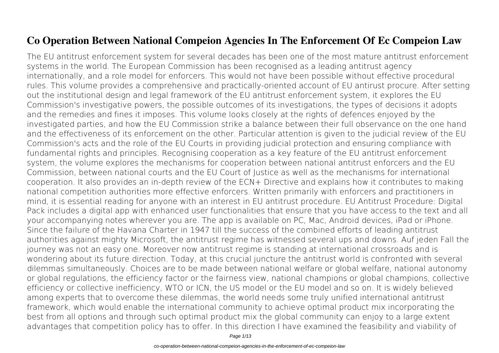## **Co Operation Between National Compeion Agencies In The Enforcement Of Ec Compeion Law**

The EU antitrust enforcement system for several decades has been one of the most mature antitrust enforcement systems in the world. The European Commission has been recognised as a leading antitrust agency internationally, and a role model for enforcers. This would not have been possible without effective procedural rules. This volume provides a comprehensive and practically-oriented account of EU antirust procure. After setting out the institutional design and legal framework of the EU antitrust enforcement system, it explores the EU Commission's investigative powers, the possible outcomes of its investigations, the types of decisions it adopts and the remedies and fines it imposes. This volume looks closely at the rights of defences enjoyed by the investigated parties, and how the EU Commission strike a balance between their full observance on the one hand and the effectiveness of its enforcement on the other. Particular attention is given to the judicial review of the EU Commission's acts and the role of the EU Courts in providing judicial protection and ensuring compliance with fundamental rights and principles. Recognising cooperation as a key feature of the EU antitrust enforcement system, the volume explores the mechanisms for cooperation between national antitrust enforcers and the EU Commission, between national courts and the EU Court of Justice as well as the mechanisms for international cooperation. It also provides an in-depth review of the ECN+ Directive and explains how it contributes to making national competition authorities more effective enforcers. Written primarily with enforcers and practitioners in mind, it is essential reading for anyone with an interest in EU antitrust procedure. EU Antitrust Procedure: Digital Pack includes a digital app with enhanced user functionalities that ensure that you have access to the text and all your accompanying notes wherever you are. The app is available on PC, Mac, Android devices, iPad or iPhone. Since the failure of the Havana Charter in 1947 till the success of the combined efforts of leading antitrust authorities against mighty Microsoft, the antitrust regime has witnessed several ups and downs. Auf jeden Fall the journey was not an easy one. Moreover now antitrust regime is standing at international crossroads and is wondering about its future direction. Today, at this crucial juncture the antitrust world is confronted with several dilemmas simultaneously. Choices are to be made between national welfare or global welfare, national autonomy or global regulations, the efficiency factor or the fairness view, national champions or global champions, collective efficiency or collective inefficiency, WTO or ICN, the US model or the EU model and so on. It is widely believed among experts that to overcome these dilemmas, the world needs some truly unified international antitrust framework, which would enable the international community to achieve optimal product mix incorporating the best from all options and through such optimal product mix the global community can enjoy to a large extent advantages that competition policy has to offer. In this direction I have examined the feasibility and viability of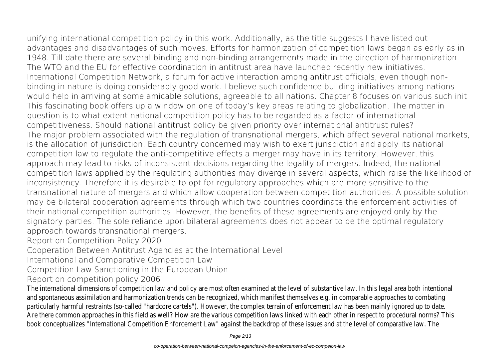unifying international competition policy in this work. Additionally, as the title suggests I have listed out advantages and disadvantages of such moves. Efforts for harmonization of competition laws began as early as in 1948. Till date there are several binding and non-binding arrangements made in the direction of harmonization. The WTO and the EU for effective coordination in antitrust area have launched recently new initiatives. International Competition Network, a forum for active interaction among antitrust officials, even though nonbinding in nature is doing considerably good work. I believe such confidence building initiatives among nations would help in arriving at some amicable solutions, agreeable to all nations. Chapter 8 focuses on various such init This fascinating book offers up a window on one of today's key areas relating to globalization. The matter in question is to what extent national competition policy has to be regarded as a factor of international competitiveness. Should national antitrust policy be given priority over international antitrust rules? The major problem associated with the regulation of transnational mergers, which affect several national markets, is the allocation of jurisdiction. Each country concerned may wish to exert jurisdiction and apply its national competition law to regulate the anti-competitive effects a merger may have in its territory. However, this approach may lead to risks of inconsistent decisions regarding the legality of mergers. Indeed, the national competition laws applied by the regulating authorities may diverge in several aspects, which raise the likelihood of inconsistency. Therefore it is desirable to opt for regulatory approaches which are more sensitive to the transnational nature of mergers and which allow cooperation between competition authorities. A possible solution may be bilateral cooperation agreements through which two countries coordinate the enforcement activities of their national competition authorities. However, the benefits of these agreements are enjoyed only by the signatory parties. The sole reliance upon bilateral agreements does not appear to be the optimal regulatory approach towards transnational mergers.

Report on Competition Policy 2020

Cooperation Between Antitrust Agencies at the International Level

International and Comparative Competition Law

Competition Law Sanctioning in the European Union

Report on competition policy 2006

The international dimensions of competition law and policy are most often examined at the level of substantive law. In this legal and spontaneous assimilation and harmonization trends can be recognized, which manifest themselves e.g. in comparable approaches particularly harmful restraints (so-called "hardcore cartels"). However, the complex terrain of enforcement law has been mainly Are there common approaches in this field as well? How are the various competition laws linked with each other in respect to book conceptualizes "International Competition Enforcement Law" against the backdrop of these issues and at the level of com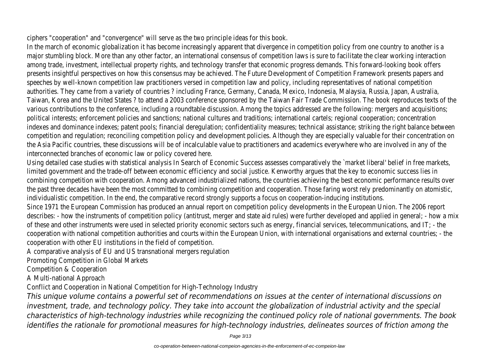ciphers "cooperation" and "convergence" will serve as the two principle ideas for this book.

In the march of economic globalization it has become increasingly apparent that divergence in competition policy from one count major stumbling block. More than any other factor, an international consensus of competition laws is sure to facilitate the clear among trade, investment, intellectual property rights, and technology transfer that economic progress demands. This forward-look presents insightful perspectives on how this consensus may be achieved. The Future Development of Competition Framework p speeches by well-known competition law practitioners versed in competition law and policy, including representatives of nation authorities. They came from a variety of countries ? including France, Germany, Canada, Mexico, Indonesia, Malaysia, Russia, Jap Taiwan, Korea and the United States ? to attend a 2003 conference sponsored by the Taiwan Fair Trade Commission. The book various contributions to the conference, including a roundtable discussion. Among the topics addressed are the following: merg political interests; enforcement policies and sanctions; national cultures and traditions; international cartels; regional cooperatio indexes and dominance indexes; patent pools; financial deregulation; confidentiality measures; technical assistance; striking the i competition and regulation; reconciling competition policy and development policies. Although they are especially valuable for the the Asia Pacific countries, these discussions will be of incalculable value to practitioners and academics everywhere who are in interconnected branches of economic law or policy covered here.

Using detailed case studies with statistical analysis In Search of Economic Success assesses comparatively the `market liberal' limited government and the trade-off between economic efficiency and social justice. Kenworthy argues that the key to econor combining competition with cooperation. Among advanced industrialized nations, the countries achieving the best economic per the past three decades have been the most committed to combining competition and cooperation. Those faring worst rely pred individualistic competition. In the end, the comparative record strongly supports a focus on cooperation-inducing institutions. Since 1971 the European Commission has produced an annual report on competition policy developments in the European Union. describes: - how the instruments of competition policy (antitrust, merger and state aid rules) were further developed and appli of these and other instruments were used in selected priority economic sectors such as energy, financial services, telecommun cooperation with national competition authorities and courts within the European Union, with international organisations and e cooperation with other EU institutions in the field of competition.

A comparative analysis of EU and US transnational mergers regulation

Promoting Competition in Global Markets

Competition & Cooperation

A Multi-national Approach

Conflict and Cooperation in National Competition for High-Technology Industry

*This unique volume contains a powerful set of recommendations on issues at the center of international discussions on investment, trade, and technology policy. They take into account the globalization of industrial activity and the special characteristics of high-technology industries while recognizing the continued policy role of national governments. The book identifies the rationale for promotional measures for high-technology industries, delineates sources of friction among the*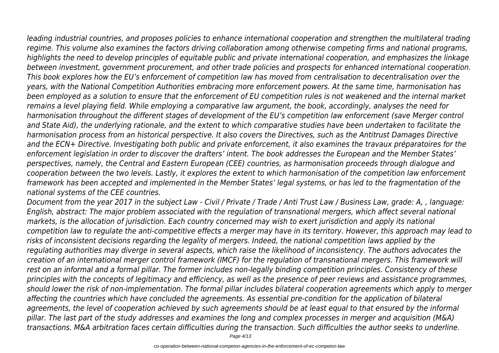*leading industrial countries, and proposes policies to enhance international cooperation and strengthen the multilateral trading regime. This volume also examines the factors driving collaboration among otherwise competing firms and national programs, highlights the need to develop principles of equitable public and private international cooperation, and emphasizes the linkage between investment, government procurement, and other trade policies and prospects for enhanced international cooperation. This book explores how the EU's enforcement of competition law has moved from centralisation to decentralisation over the years, with the National Competition Authorities embracing more enforcement powers. At the same time, harmonisation has been employed as a solution to ensure that the enforcement of EU competition rules is not weakened and the internal market remains a level playing field. While employing a comparative law argument, the book, accordingly, analyses the need for harmonisation throughout the different stages of development of the EU's competition law enforcement (save Merger control*

*and State Aid), the underlying rationale, and the extent to which comparative studies have been undertaken to facilitate the harmonisation process from an historical perspective. It also covers the Directives, such as the Antitrust Damages Directive and the ECN+ Directive. Investigating both public and private enforcement, it also examines the travaux préparatoires for the enforcement legislation in order to discover the drafters' intent. The book addresses the European and the Member States' perspectives, namely, the Central and Eastern European (CEE) countries, as harmonisation proceeds through dialogue and cooperation between the two levels. Lastly, it explores the extent to which harmonisation of the competition law enforcement framework has been accepted and implemented in the Member States' legal systems, or has led to the fragmentation of the national systems of the CEE countries.*

*Document from the year 2017 in the subject Law - Civil / Private / Trade / Anti Trust Law / Business Law, grade: A, , language: English, abstract: The major problem associated with the regulation of transnational mergers, which affect several national markets, is the allocation of jurisdiction. Each country concerned may wish to exert jurisdiction and apply its national competition law to regulate the anti-competitive effects a merger may have in its territory. However, this approach may lead to risks of inconsistent decisions regarding the legality of mergers. Indeed, the national competition laws applied by the regulating authorities may diverge in several aspects, which raise the likelihood of inconsistency. The authors advocates the creation of an international merger control framework (IMCF) for the regulation of transnational mergers. This framework will rest on an informal and a formal pillar. The former includes non-legally binding competition principles. Consistency of these principles with the concepts of legitimacy and efficiency, as well as the presence of peer reviews and assistance programmes, should lower the risk of non-implementation. The formal pillar includes bilateral cooperation agreements which apply to merger affecting the countries which have concluded the agreements. As essential pre-condition for the application of bilateral agreements, the level of cooperation achieved by such agreements should be at least equal to that ensured by the informal pillar. The last part of the study addresses and examines the long and complex processes in merger and acquisition (M&A) transactions. M&A arbitration faces certain difficulties during the transaction. Such difficulties the author seeks to underline.*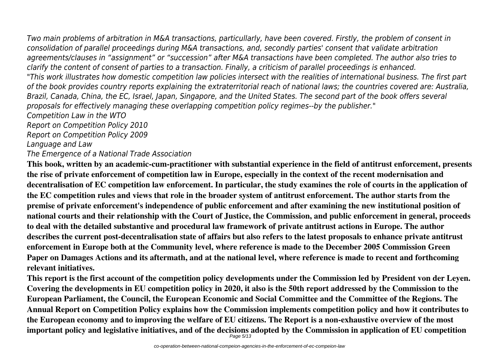*Two main problems of arbitration in M&A transactions, particullarly, have been covered. Firstly, the problem of consent in consolidation of parallel proceedings during M&A transactions, and, secondly parties' consent that validate arbitration agreements/clauses in "assignment" or "succession" after M&A transactions have been completed. The author also tries to clarify the content of consent of parties to a transaction. Finally, a criticism of parallel proceedings is enhanced. "This work illustrates how domestic competition law policies intersect with the realities of international business. The first part of the book provides country reports explaining the extraterritorial reach of national laws; the countries covered are: Australia, Brazil, Canada, China, the EC, Israel, Japan, Singapore, and the United States. The second part of the book offers several proposals for effectively managing these overlapping competition policy regimes--by the publisher." Competition Law in the WTO Report on Competition Policy 2010 Report on Competition Policy 2009*

*Language and Law*

*The Emergence of a National Trade Association*

**This book, written by an academic-cum-practitioner with substantial experience in the field of antitrust enforcement, presents the rise of private enforcement of competition law in Europe, especially in the context of the recent modernisation and decentralisation of EC competition law enforcement. In particular, the study examines the role of courts in the application of the EC competition rules and views that role in the broader system of antitrust enforcement. The author starts from the premise of private enforcement's independence of public enforcement and after examining the new institutional position of national courts and their relationship with the Court of Justice, the Commission, and public enforcement in general, proceeds to deal with the detailed substantive and procedural law framework of private antitrust actions in Europe. The author describes the current post-decentralisation state of affairs but also refers to the latest proposals to enhance private antitrust enforcement in Europe both at the Community level, where reference is made to the December 2005 Commission Green Paper on Damages Actions and its aftermath, and at the national level, where reference is made to recent and forthcoming relevant initiatives.**

**This report is the first account of the competition policy developments under the Commission led by President von der Leyen. Covering the developments in EU competition policy in 2020, it also is the 50th report addressed by the Commission to the European Parliament, the Council, the European Economic and Social Committee and the Committee of the Regions. The Annual Report on Competition Policy explains how the Commission implements competition policy and how it contributes to the European economy and to improving the welfare of EU citizens. The Report is a non-exhaustive overview of the most important policy and legislative initiatives, and of the decisions adopted by the Commission in application of EU competition** Page 5/13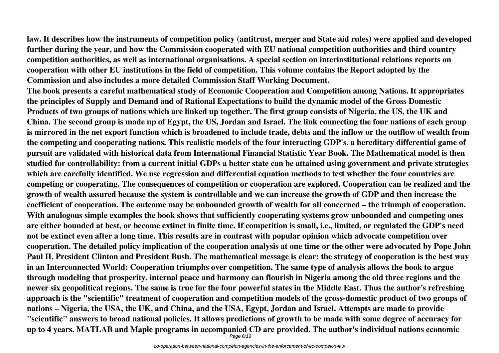**law. It describes how the instruments of competition policy (antitrust, merger and State aid rules) were applied and developed further during the year, and how the Commission cooperated with EU national competition authorities and third country competition authorities, as well as international organisations. A special section on interinstitutional relations reports on cooperation with other EU institutions in the field of competition. This volume contains the Report adopted by the Commission and also includes a more detailed Commission Staff Working Document.**

**The book presents a careful mathematical study of Economic Cooperation and Competition among Nations. It appropriates the principles of Supply and Demand and of Rational Expectations to build the dynamic model of the Gross Domestic Products of two groups of nations which are linked up together. The first group consists of Nigeria, the US, the UK and China. The second group is made up of Egypt, the US, Jordan and Israel. The link connecting the four nations of each group is mirrored in the net export function which is broadened to include trade, debts and the inflow or the outflow of wealth from the competing and cooperating nations. This realistic models of the four interacting GDP's, a hereditary differential game of pursuit are validated with historical data from International Financial Statistic Year Book. The Mathematical model is then studied for controllability: from a current initial GDPs a better state can be attained using government and private strategies which are carefully identified. We use regression and differential equation methods to test whether the four countries are competing or cooperating. The consequences of competition or cooperation are explored. Cooperation can be realized and the growth of wealth assured because the system is controllable and we can increase the growth of GDP and then increase the coefficient of cooperation. The outcome may be unbounded growth of wealth for all concerned – the triumph of cooperation. With analogous simple examples the book shows that sufficiently cooperating systems grow unbounded and competing ones are either bounded at best, or become extinct in finite time. If competition is small, i.e., limited, or regulated the GDP's need not be extinct even after a long time. This results are in contrast with popular opinion which advocate competition over cooperation. The detailed policy implication of the cooperation analysis at one time or the other were advocated by Pope John Paul II, President Clinton and President Bush. The mathematical message is clear: the strategy of cooperation is the best way in an Interconnected World: Cooperation triumphs over competition. The same type of analysis allows the book to argue through modeling that prosperity, internal peace and harmony can flourish in Nigeria among the old three regions and the newer six geopolitical regions. The same is true for the four powerful states in the Middle East. Thus the author's refreshing approach is the "scientific" treatment of cooperation and competition models of the gross-domestic product of two groups of nations – Nigeria, the USA, the UK, and China, and the USA, Egypt, Jordan and Israel. Attempts are made to provide "scientific" answers to broad national policies. It allows predictions of growth to be made with some degree of accuracy for up to 4 years. MATLAB and Maple programs in accompanied CD are provided. The author's individual nations economic**

Page 6/13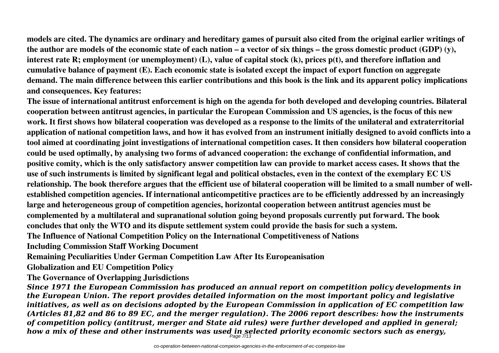**models are cited. The dynamics are ordinary and hereditary games of pursuit also cited from the original earlier writings of the author are models of the economic state of each nation – a vector of six things – the gross domestic product (GDP) (y), interest rate R; employment (or unemployment) (L), value of capital stock (k), prices p(t), and therefore inflation and cumulative balance of payment (E). Each economic state is isolated except the impact of export function on aggregate demand. The main difference between this earlier contributions and this book is the link and its apparent policy implications and consequences. Key features:**

**The issue of international antitrust enforcement is high on the agenda for both developed and developing countries. Bilateral cooperation between antitrust agencies, in particular the European Commission and US agencies, is the focus of this new work. It first shows how bilateral cooperation was developed as a response to the limits of the unilateral and extraterritorial application of national competition laws, and how it has evolved from an instrument initially designed to avoid conflicts into a tool aimed at coordinating joint investigations of international competition cases. It then considers how bilateral cooperation could be used optimally, by analysing two forms of advanced cooperation: the exchange of confidential information, and positive comity, which is the only satisfactory answer competition law can provide to market access cases. It shows that the use of such instruments is limited by significant legal and political obstacles, even in the context of the exemplary EC US relationship. The book therefore argues that the efficient use of bilateral cooperation will be limited to a small number of wellestablished competition agencies. If international anticompetitive practices are to be efficiently addressed by an increasingly large and heterogeneous group of competition agencies, horizontal cooperation between antitrust agencies must be complemented by a multilateral and supranational solution going beyond proposals currently put forward. The book concludes that only the WTO and its dispute settlement system could provide the basis for such a system. The Influence of National Competition Policy on the International Competitiveness of Nations Including Commission Staff Working Document**

**Remaining Peculiarities Under German Competition Law After Its Europeanisation**

**Globalization and EU Competition Policy**

**The Governance of Overlapping Jurisdictions**

*Since 1971 the European Commission has produced an annual report on competition policy developments in the European Union. The report provides detailed information on the most important policy and legislative initiatives, as well as on decisions adopted by the European Commission in application of EC competition law (Articles 81,82 and 86 to 89 EC, and the merger regulation). The 2006 report describes: how the instruments of competition policy (antitrust, merger and State aid rules) were further developed and applied in general; how a mix of these and other instruments was used in selected priority economic sectors such as energy,* Page 7/13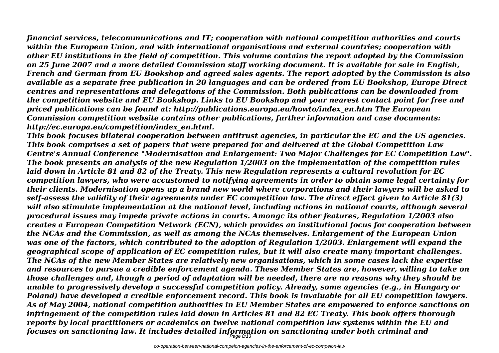*financial services, telecommunications and IT; cooperation with national competition authorities and courts within the European Union, and with international organisations and external countries; cooperation with other EU institutions in the field of competition. This volume contains the report adopted by the Commission on 25 June 2007 and a more detailed Commission staff working document. It is available for sale in English, French and German from EU Bookshop and agreed sales agents. The report adopted by the Commission is also available as a separate free publication in 20 languages and can be ordered from EU Bookshop, Europe Direct centres and representations and delegations of the Commission. Both publications can be downloaded from the competition website and EU Bookshop. Links to EU Bookshop and your nearest contact point for free and priced publications can be found at: http://publications.europa.eu/howto/index\_en.htm The European Commission competition website contains other publications, further information and case documents: http://ec.europa.eu/competition/index\_en.html.*

*This book focuses bilateral cooperation between antitrust agencies, in particular the EC and the US agencies. This book comprises a set of papers that were prepared for and delivered at the Global Competition Law Centre's Annual Conference "Modernisation and Enlargement: Two Major Challenges for EC Competition Law". The book presents an analysis of the new Regulation 1/2003 on the implementation of the competition rules laid down in Article 81 and 82 of the Treaty. This new Regulation represents a cultural revolution for EC competition lawyers, who were accustomed to notifying agreements in order to obtain some legal certainty for their clients. Modernisation opens up a brand new world where corporations and their lawyers will be asked to self-assess the validity of their agreements under EC competition law. The direct effect given to Article 81(3) will also stimulate implementation at the national level, including actions in national courts, although several procedural issues may impede private actions in courts. Amongc its other features, Regulation 1/2003 also creates a European Competition Network (ECN), which provides an institutional focus for cooperation between the NCAs and the Commission, as well as among the NCAs themselves. Enlargement of the European Union was one of the factors, which contributed to the adoption of Regulation 1/2003. Enlargement will expand the geographical scope of application of EC competition rules, but it will also create many important challenges. The NCAs of the new Member States are relatively new organisations, which in some cases lack the expertise and resources to pursue a credible enforcement agenda. These Member States are, however, willing to take on those challenges and, though a period of adaptation will be needed, there are no reasons why they should be unable to progressively develop a successful competition policy. Already, some agencies (e.g., in Hungary or Poland) have developed a credible enforcement record. This book is invaluable for all EU competition lawyers. As of May 2004, national competition authorities in EU Member States are empowered to enforce sanctions on infringement of the competition rules laid down in Articles 81 and 82 EC Treaty. This book offers thorough reports by local practitioners or academics on twelve national competition law systems within the EU and focuses on sanctioning law. It includes detailed information on sanctioning under both criminal and* Page 8/13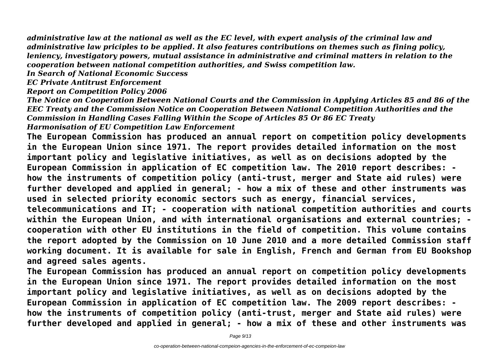*administrative law at the national as well as the EC level, with expert analysis of the criminal law and administrative law priciples to be applied. It also features contributions on themes such as fining policy, leniency, investigatory powers, mutual assistance in administrative and criminal matters in relation to the cooperation between national competition authorities, and Swiss competition law.*

*In Search of National Economic Success*

*EC Private Antitrust Enforcement*

*Report on Competition Policy 2006*

*The Notice on Cooperation Between National Courts and the Commission in Applying Articles 85 and 86 of the EEC Treaty and the Commission Notice on Cooperation Between National Competition Authorities and the Commission in Handling Cases Falling Within the Scope of Articles 85 Or 86 EC Treaty Harmonisation of EU Competition Law Enforcement*

**The European Commission has produced an annual report on competition policy developments in the European Union since 1971. The report provides detailed information on the most important policy and legislative initiatives, as well as on decisions adopted by the European Commission in application of EC competition law. The 2010 report describes: how the instruments of competition policy (anti-trust, merger and State aid rules) were further developed and applied in general; - how a mix of these and other instruments was used in selected priority economic sectors such as energy, financial services, telecommunications and IT; - cooperation with national competition authorities and courts**

**within the European Union, and with international organisations and external countries; cooperation with other EU institutions in the field of competition. This volume contains the report adopted by the Commission on 10 June 2010 and a more detailed Commission staff working document. It is available for sale in English, French and German from EU Bookshop and agreed sales agents.**

**The European Commission has produced an annual report on competition policy developments in the European Union since 1971. The report provides detailed information on the most important policy and legislative initiatives, as well as on decisions adopted by the European Commission in application of EC competition law. The 2009 report describes: how the instruments of competition policy (anti-trust, merger and State aid rules) were further developed and applied in general; - how a mix of these and other instruments was**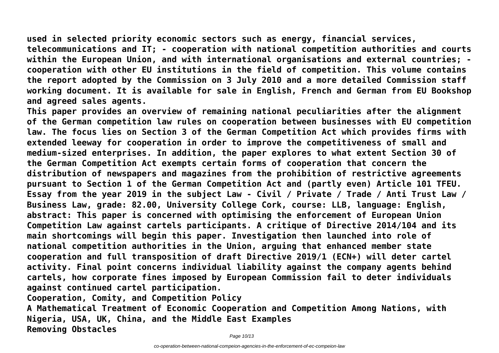**used in selected priority economic sectors such as energy, financial services, telecommunications and IT; - cooperation with national competition authorities and courts within the European Union, and with international organisations and external countries; cooperation with other EU institutions in the field of competition. This volume contains the report adopted by the Commission on 3 July 2010 and a more detailed Commission staff working document. It is available for sale in English, French and German from EU Bookshop and agreed sales agents.**

**This paper provides an overview of remaining national peculiarities after the alignment of the German competition law rules on cooperation between businesses with EU competition law. The focus lies on Section 3 of the German Competition Act which provides firms with extended leeway for cooperation in order to improve the competitiveness of small and medium-sized enterprises. In addition, the paper explores to what extent Section 30 of the German Competition Act exempts certain forms of cooperation that concern the distribution of newspapers and magazines from the prohibition of restrictive agreements pursuant to Section 1 of the German Competition Act and (partly even) Article 101 TFEU. Essay from the year 2019 in the subject Law - Civil / Private / Trade / Anti Trust Law / Business Law, grade: 82.00, University College Cork, course: LLB, language: English, abstract: This paper is concerned with optimising the enforcement of European Union Competition Law against cartels participants. A critique of Directive 2014/104 and its main shortcomings will begin this paper. Investigation then launched into role of national competition authorities in the Union, arguing that enhanced member state cooperation and full transposition of draft Directive 2019/1 (ECN+) will deter cartel activity. Final point concerns individual liability against the company agents behind cartels, how corporate fines imposed by European Commission fail to deter individuals against continued cartel participation.**

**Cooperation, Comity, and Competition Policy**

**A Mathematical Treatment of Economic Cooperation and Competition Among Nations, with Nigeria, USA, UK, China, and the Middle East Examples Removing Obstacles**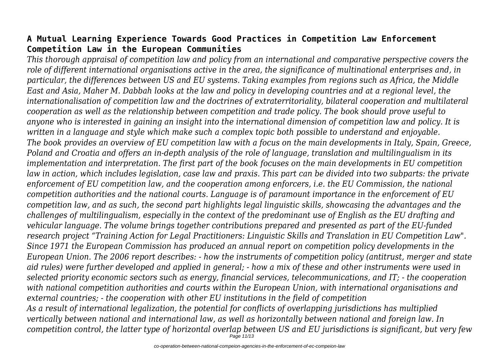## **A Mutual Learning Experience Towards Good Practices in Competition Law Enforcement Competition Law in the European Communities**

*This thorough appraisal of competition law and policy from an international and comparative perspective covers the role of different international organisations active in the area, the significance of multinational enterprises and, in particular, the differences between US and EU systems. Taking examples from regions such as Africa, the Middle East and Asia, Maher M. Dabbah looks at the law and policy in developing countries and at a regional level, the internationalisation of competition law and the doctrines of extraterritoriality, bilateral cooperation and multilateral cooperation as well as the relationship between competition and trade policy. The book should prove useful to anyone who is interested in gaining an insight into the international dimension of competition law and policy. It is written in a language and style which make such a complex topic both possible to understand and enjoyable. The book provides an overview of EU competition law with a focus on the main developments in Italy, Spain, Greece, Poland and Croatia and offers an in-depth analysis of the role of language, translation and multilingualism in its implementation and interpretation. The first part of the book focuses on the main developments in EU competition law in action, which includes legislation, case law and praxis. This part can be divided into two subparts: the private enforcement of EU competition law, and the cooperation among enforcers, i.e. the EU Commission, the national competition authorities and the national courts. Language is of paramount importance in the enforcement of EU competition law, and as such, the second part highlights legal linguistic skills, showcasing the advantages and the challenges of multilingualism, especially in the context of the predominant use of English as the EU drafting and vehicular language. The volume brings together contributions prepared and presented as part of the EU-funded research project "Training Action for Legal Practitioners: Linguistic Skills and Translation in EU Competition Law". Since 1971 the European Commission has produced an annual report on competition policy developments in the European Union. The 2006 report describes: - how the instruments of competition policy (antitrust, merger and state aid rules) were further developed and applied in general; - how a mix of these and other instruments were used in selected priority economic sectors such as energy, financial services, telecommunications, and IT; - the cooperation with national competition authorities and courts within the European Union, with international organisations and external countries; - the cooperation with other EU institutions in the field of competition As a result of international legalization, the potential for conflicts of overlapping jurisdictions has multiplied vertically between national and international law, as well as horizontally between national and foreign law. In competition control, the latter type of horizontal overlap between US and EU jurisdictions is significant, but very few*

Page 11/13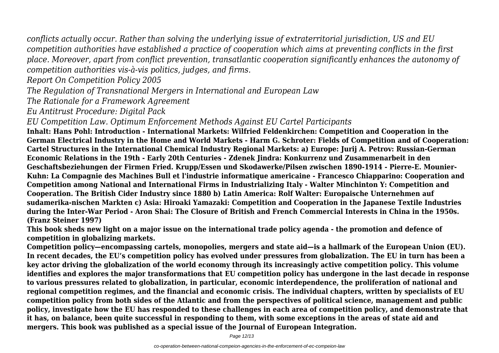*conflicts actually occur. Rather than solving the underlying issue of extraterritorial jurisdiction, US and EU competition authorities have established a practice of cooperation which aims at preventing conflicts in the first place. Moreover, apart from conflict prevention, transatlantic cooperation significantly enhances the autonomy of competition authorities vis-à-vis politics, judges, and firms.*

*Report On Competition Policy 2005*

*The Regulation of Transnational Mergers in International and European Law*

*The Rationale for a Framework Agreement*

*Eu Antitrust Procedure: Digital Pack*

*EU Competition Law. Optimum Enforcement Methods Against EU Cartel Participants*

**Inhalt: Hans Pohl: Introduction - International Markets: Wilfried Feldenkirchen: Competition and Cooperation in the German Electrical Industry in the Home and World Markets - Harm G. Schroter: Fields of Competition and of Cooperation: Cartel Structures in the International Chemical Industry Regional Markets: a) Europe: Jurij A. Petrov: Russian-German Economic Relations in the 19th - Early 20th Centuries - Zdenek Jindra: Konkurrenz und Zusammenarbeit in den Geschaftsbeziehungen der Firmen Fried. Krupp/Essen und Skodawerke/Pilsen zwischen 1890-1914 - Pierre-E. Mounier-Kuhn: La Compagnie des Machines Bull et l'industrie informatique americaine - Francesco Chiapparino: Cooperation and Competition among National and International Firms in Industrializing Italy - Walter Minchinton Y: Competition and Cooperation. The British Cider Industry since 1880 b) Latin America: Rolf Walter: Europaische Unternehmen auf sudamerika-nischen Markten c) Asia: Hiroaki Yamazaki: Competition and Cooperation in the Japanese Textile Industries during the Inter-War Period - Aron Shai: The Closure of British and French Commercial Interests in China in the 1950s. (Franz Steiner 1997)**

**This book sheds new light on a major issue on the international trade policy agenda - the promotion and defence of competition in globalizing markets.**

**Competition policy—encompassing cartels, monopolies, mergers and state aid—is a hallmark of the European Union (EU). In recent decades, the EU's competition policy has evolved under pressures from globalization. The EU in turn has been a key actor driving the globalization of the world economy through its increasingly active competition policy. This volume identifies and explores the major transformations that EU competition policy has undergone in the last decade in response to various pressures related to globalization, in particular, economic interdependence, the proliferation of national and regional competition regimes, and the financial and economic crisis. The individual chapters, written by specialists of EU competition policy from both sides of the Atlantic and from the perspectives of political science, management and public policy, investigate how the EU has responded to these challenges in each area of competition policy, and demonstrate that it has, on balance, been quite successful in responding to them, with some exceptions in the areas of state aid and mergers. This book was published as a special issue of the Journal of European Integration.**